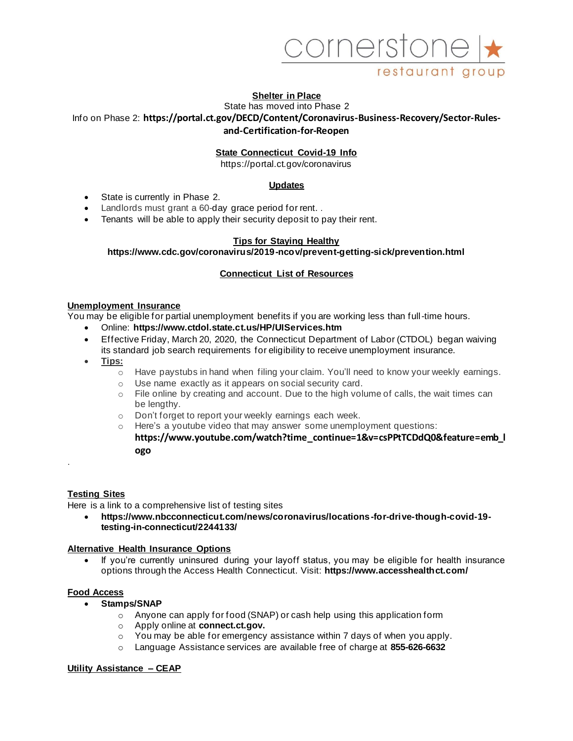

# **Shelter in Place**

State has moved into Phase 2 Info on Phase 2: **https://portal.ct.gov/DECD/Content/Coronavirus-Business-Recovery/Sector-Rulesand-Certification-for-Reopen**

# **State Connecticut Covid-19 Info**

https://portal.ct.gov/coronavirus

# **Updates**

- State is currently in Phase 2.
- Landlords must grant a 60-day grace period for rent. .
- Tenants will be able to apply their security deposit to pay their rent.

# **Tips for Staying Healthy**

# **https://www.cdc.gov/coronavirus/2019-ncov/prevent-getting-sick/prevention.html**

# **Connecticut List of Resources**

#### **Unemployment Insurance**

You may be eligible for partial unemployment benefits if you are working less than full-time hours.

- Online: **https://www.ctdol.state.ct.us/HP/UIServices.htm**
- Effective Friday, March 20, 2020, the Connecticut Department of Labor (CTDOL) began waiving its standard job search requirements for eligibility to receive unemployment insurance.
- **Tips:**
	- $\circ$  Have paystubs in hand when filing your claim. You'll need to know your weekly earnings.
	- o Use name exactly as it appears on social security card.
	- $\circ$  File online by creating and account. Due to the high volume of calls, the wait times can be lengthy.
	- o Don't forget to report your weekly earnings each week.
	- o Here's a youtube video that may answer some unemployment questions: **https://www.youtube.com/watch?time\_continue=1&v=csPPtTCDdQ0&feature=emb\_l ogo**

# **Testing Sites**

.

Here is a link to a comprehensive list of testing sites

• **https://www.nbcconnecticut.com/news/coronavirus/locations-for-drive-though-covid-19 testing-in-connecticut/2244133/**

# **Alternative Health Insurance Options**

If you're currently uninsured during your layoff status, you may be eligible for health insurance options through the Access Health Connecticut. Visit: **https://www.accesshealthct.com/**

# **Food Access**

- **Stamps/SNAP**
	- $\circ$  Anyone can apply for food (SNAP) or cash help using this application form
	- o Apply online at **connect.ct.gov.**
	- o You may be able for emergency assistance within 7 days of when you apply.
	- o Language Assistance services are available free of charge at **855-626-6632**

# **Utility Assistance – CEAP**